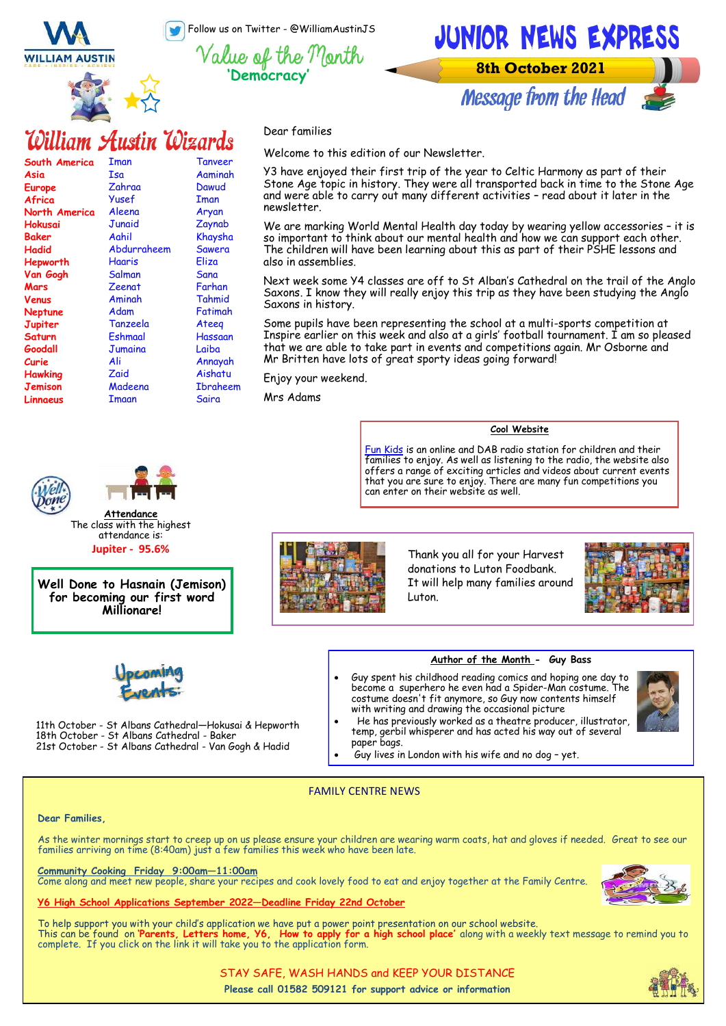Follow us on Twitter - @WilliamAustinJS

**WILLIAM AUSTIN** 





William Austin Wizards

| South America  | Iman        | <b>Tanveer</b>  |
|----------------|-------------|-----------------|
| Asia           | Isa         | Aaminah         |
| Europe         | Zahraa      | Dawud           |
| Africa         | Yusef       | Iman            |
| North America  | Aleena      | Aryan           |
| Hokusai        | Junaid      | Zaynab          |
| Baker          | Aahil       | Khaysha         |
| Hadid          | Abdurraheem | <b>Sawera</b>   |
| Hepworth       | Haaris      | Eliza           |
| Van Gogh       | Salman      | Sana            |
| Mars           | Zeenat      | Farhan          |
| Venus          | Aminah      | Tahmid          |
| Neptune        | Adam        | Fatimah         |
| Jupiter        | Tanzeela    | Ateeg           |
| Saturn         | Eshmaal     | Hassaan         |
| Goodall        | Jumaina     | Laiba           |
| Curie          | Ali         | Annayah         |
| <b>Hawking</b> | Zaid        | Aishatu         |
| Jemison        | Madeena     | <b>Ibraheem</b> |
| Linnaeus       | Imaan       | Saira           |

**Attendance** The class with the highest attendance is: **Jupiter - 95.6%**

**Well Done to Hasnain (Jemison) for becoming our first word Millionare!**

11th October - St Albans Cathedral—Hokusai & Hepworth

21st October - St Albans Cathedral - Van Gogh & Hadid

18th October - St Albans Cathedral - Baker

Dear families

Welcome to this edition of our Newsletter.

Y3 have enjoyed their first trip of the year to Celtic Harmony as part of their Stone Age topic in history. They were all transported back in time to the Stone Age and were able to carry out many different activities - read about it later in the newsletter.

We are marking World Mental Health day today by wearing yellow accessories – it is so important to think about our mental health and how we can support each other. The children will have been learning about this as part of their PSHE lessons and also in assemblies.

Next week some Y4 classes are off to St Alban's Cathedral on the trail of the Anglo Saxons. I know they will really enjoy this trip as they have been studying the Anglo Saxons in history.

Some pupils have been representing the school at a multi-sports competition at Inspire earlier on this week and also at a girls' football tournament. I am so pleased that we are able to take part in events and competitions again. Mr Osborne and Mr Britten have lots of great sporty ideas going forward!

Enjoy your weekend.

Mrs Adams

**Cool Website**

[Fun Kids](https://www.funkidslive.com/) is an online and DAB radio station for children and their families to enjoy. As well as listening to the radio, the website also offers a range of exciting articles and videos about current events that you are sure to enjoy. There are many fun competitions you can enter on their website as well.



Thank you all for your Harvest donations to Luton Foodbank. It will help many families around Luton.



#### **Author of the Month - Guy Bass**

• Guy spent his childhood reading comics and hoping one day to become a superhero he even had a Spider-Man costume. The costume doesn't fit anymore, so Guy now contents himself



- with writing and drawing the occasional picture • He has previously worked as a theatre producer, illustrator, temp, gerbil whisperer and has acted his way out of several
	- paper bags.
	- Guy lives in London with his wife and no dog yet.

### FAMILY CENTRE NEWS

#### **Dear Families,**

As the winter mornings start to creep up on us please ensure your children are wearing warm coats, hat and gloves if needed. Great to see our families arriving on time (8:40am) just a few families this week who have been late.

**Community Cooking Friday 9:00am—11:00am** Come along and meet new people, share your recipes and cook lovely food to eat and enjoy together at the Family Centre.

#### **Y6 High School Applications September 2022—Deadline Friday 22nd October**

To help support you with your child's application we have put a power point presentation on our school website. This can be found on **'Parents, Letters home, Y6, How to apply for a high school place'** along with a weekly text message to remind you to complete. If you click on the link it will take you to the application form.